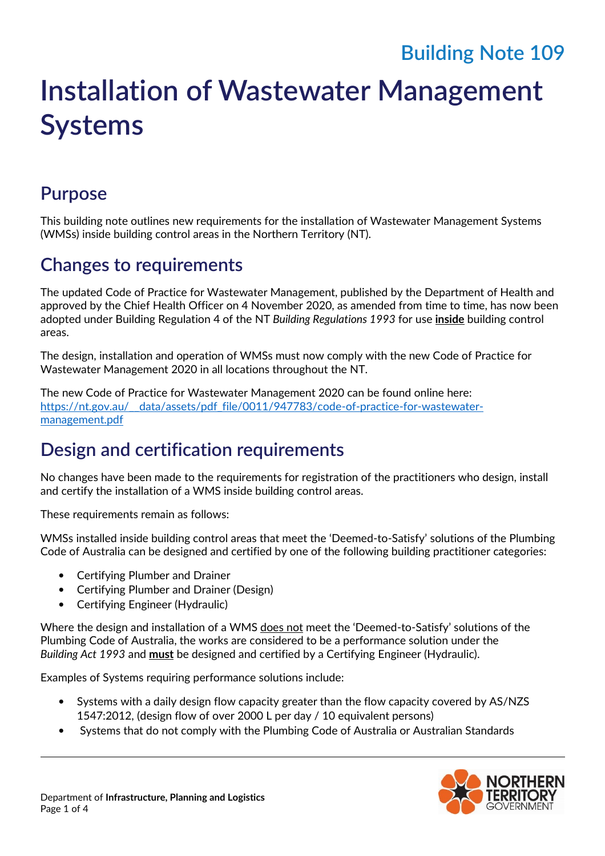# **Building Note 109**

# **Installation of Wastewater Management Systems**

#### **Purpose**

This building note outlines new requirements for the installation of Wastewater Management Systems (WMSs) inside building control areas in the Northern Territory (NT).

## **Changes to requirements**

The updated Code of Practice for Wastewater Management, published by the Department of Health and approved by the Chief Health Officer on 4 November 2020, as amended from time to time, has now been adopted under Building Regulation 4 of the NT *Building Regulations 1993* for use **inside** building control areas.

The design, installation and operation of WMSs must now comply with the new Code of Practice for Wastewater Management 2020 in all locations throughout the NT.

The new Code of Practice for Wastewater Management 2020 can be found online here: https://nt.gov.au/\_\_data/assets/pdf\_file/0011/947783/code-of-practice-for-wastewatermanagement.pdf

### **Design and certification requirements**

No changes have been made to the requirements for registration of the practitioners who design, install and certify the installation of a WMS inside building control areas.

These requirements remain as follows:

WMSs installed inside building control areas that meet the 'Deemed-to-Satisfy' solutions of the Plumbing Code of Australia can be designed and certified by one of the following building practitioner categories:

- Certifying Plumber and Drainer
- Certifying Plumber and Drainer (Design)
- Certifying Engineer (Hydraulic)

Where the design and installation of a WMS does not meet the 'Deemed-to-Satisfy' solutions of the Plumbing Code of Australia, the works are considered to be a performance solution under the *Building Act 1993* and **must** be designed and certified by a Certifying Engineer (Hydraulic).

Examples of Systems requiring performance solutions include:

- Systems with a daily design flow capacity greater than the flow capacity covered by AS/NZS 1547:2012, (design flow of over 2000 L per day / 10 equivalent persons)
- Systems that do not comply with the Plumbing Code of Australia or Australian Standards

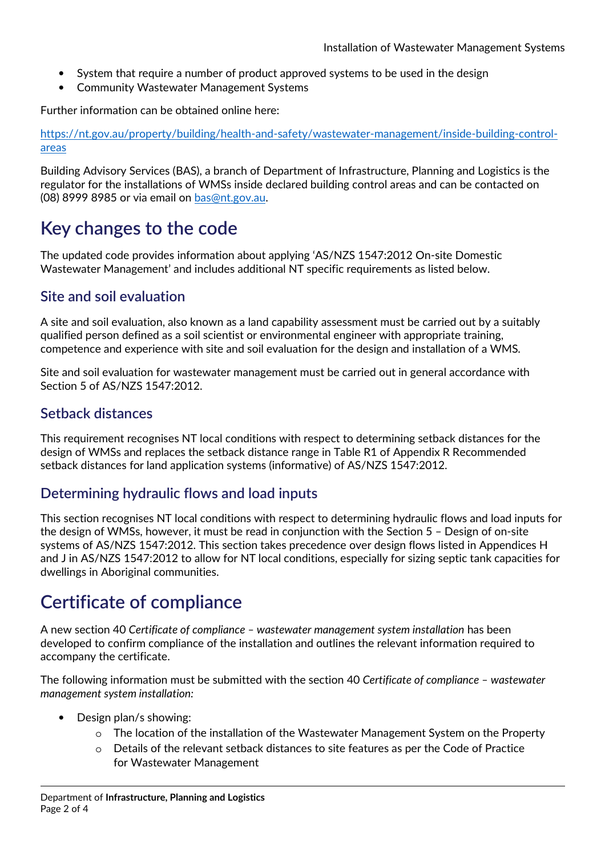- System that require a number of product approved systems to be used in the design
- Community Wastewater Management Systems

Further information can be obtained online here:

https://nt.gov.au/property/building/health-and-safety/wastewater-management/inside-building-controlareas

Building Advisory Services (BAS), a branch of Department of Infrastructure, Planning and Logistics is the regulator for the installations of WMSs inside declared building control areas and can be contacted on (08) 8999 8985 or via email on bas@nt.gov.au.

### **Key changes to the code**

The updated code provides information about applying 'AS/NZS 1547:2012 On-site Domestic Wastewater Management' and includes additional NT specific requirements as listed below.

#### **Site and soil evaluation**

A site and soil evaluation, also known as a land capability assessment must be carried out by a suitably qualified person defined as a soil scientist or environmental engineer with appropriate training, competence and experience with site and soil evaluation for the design and installation of a WMS.

Site and soil evaluation for wastewater management must be carried out in general accordance with Section 5 of AS/NZS 1547:2012.

#### **Setback distances**

This requirement recognises NT local conditions with respect to determining setback distances for the design of WMSs and replaces the setback distance range in Table R1 of Appendix R Recommended setback distances for land application systems (informative) of AS/NZS 1547:2012.

#### **Determining hydraulic flows and load inputs**

This section recognises NT local conditions with respect to determining hydraulic flows and load inputs for the design of WMSs, however, it must be read in conjunction with the Section 5 – Design of on-site systems of AS/NZS 1547:2012. This section takes precedence over design flows listed in Appendices H and J in AS/NZS 1547:2012 to allow for NT local conditions, especially for sizing septic tank capacities for dwellings in Aboriginal communities.

## **Certificate of compliance**

A new section 40 *Certificate of compliance – wastewater management system installation* has been developed to confirm compliance of the installation and outlines the relevant information required to accompany the certificate.

The following information must be submitted with the section 40 *Certificate of compliance – wastewater management system installation:* 

- Design plan/s showing:
	- $\circ$  The location of the installation of the Wastewater Management System on the Property
	- o Details of the relevant setback distances to site features as per the Code of Practice for Wastewater Management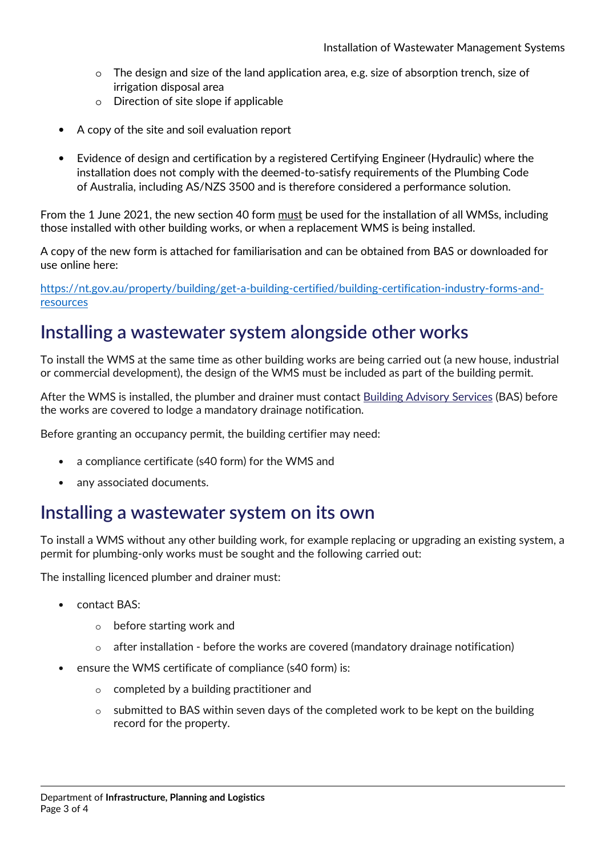- $\circ$  The design and size of the land application area, e.g. size of absorption trench, size of irrigation disposal area
- o Direction of site slope if applicable
- A copy of the site and soil evaluation report
- Evidence of design and certification by a registered Certifying Engineer (Hydraulic) where the installation does not comply with the deemed-to-satisfy requirements of the Plumbing Code of Australia, including AS/NZS 3500 and is therefore considered a performance solution.

From the 1 June 2021, the new section 40 form must be used for the installation of all WMSs, including those installed with other building works, or when a replacement WMS is being installed.

A copy of the new form is attached for familiarisation and can be obtained from BAS or downloaded for use online here:

https://nt.gov.au/property/building/get-a-building-certified/building-certification-industry-forms-andresources

#### **Installing a wastewater system alongside other works**

To install the WMS at the same time as other building works are being carried out (a new house, industrial or commercial development), the design of the WMS must be included as part of the building permit.

After the WMS is installed, the plumber and drainer must contact Building Advisory Services (BAS) before the works are covered to lodge a mandatory drainage notification.

Before granting an occupancy permit, the building certifier may need:

- a compliance certificate (s40 form) for the WMS and
- any associated documents.

#### **Installing a wastewater system on its own**

To install a WMS without any other building work, for example replacing or upgrading an existing system, a permit for plumbing-only works must be sought and the following carried out:

The installing licenced plumber and drainer must:

- contact BAS:
	- o before starting work and
	- after installation before the works are covered (mandatory drainage notification)
- ensure the WMS certificate of compliance (s40 form) is:
	- o completed by a building practitioner and
	- $\circ$  submitted to BAS within seven days of the completed work to be kept on the building record for the property.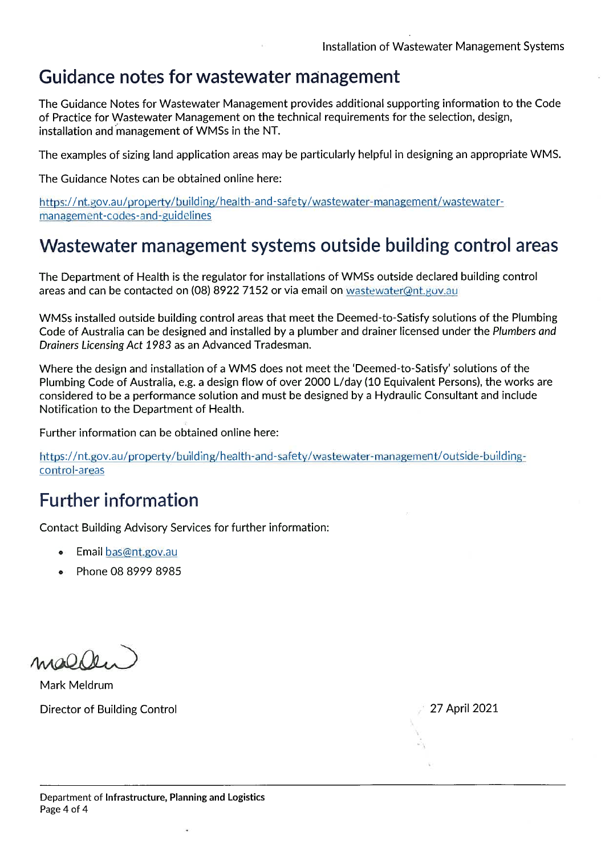#### Guidance notes for wastewater management

The Guidance Notes for Wastewater Management provides additional supporting information to the Code of Practice for Wastewater Management on the technical requirements for the selection, design, installation and management of WMSs in the NT.

The examples of sizing land application areas may be particularly helpful in designing an appropriate WMS.

The Guidance Notes can be obtained online here:

https://nt.gov.au/property/building/health-and-safety/wastewater-management/wastewatermanagement-codes-and-guidelines

### Wastewater management systems outside building control areas

The Department of Health is the regulator for installations of WMSs outside declared building control areas and can be contacted on (08) 8922 7152 or via email on wastewater@nt.gov.au

WMSs installed outside building control areas that meet the Deemed-to-Satisfy solutions of the Plumbing Code of Australia can be designed and installed by a plumber and drainer licensed under the Plumbers and Drainers Licensing Act 1983 as an Advanced Tradesman.

Where the design and installation of a WMS does not meet the 'Deemed-to-Satisfy' solutions of the Plumbing Code of Australia, e.g. a design flow of over 2000 L/day (10 Equivalent Persons), the works are considered to be a performance solution and must be designed by a Hydraulic Consultant and include Notification to the Department of Health.

Further information can be obtained online here:

https://nt.gov.au/property/building/health-and-safety/wastewater-management/outside-buildingcontrol-areas

## Further information

Contact Building Advisory Services for further information:

- Email bas@nt.gov.au
- Phone 08 8999 8985

 $modh$ 

Mark Meldrum Director of Building Control

27 April 2021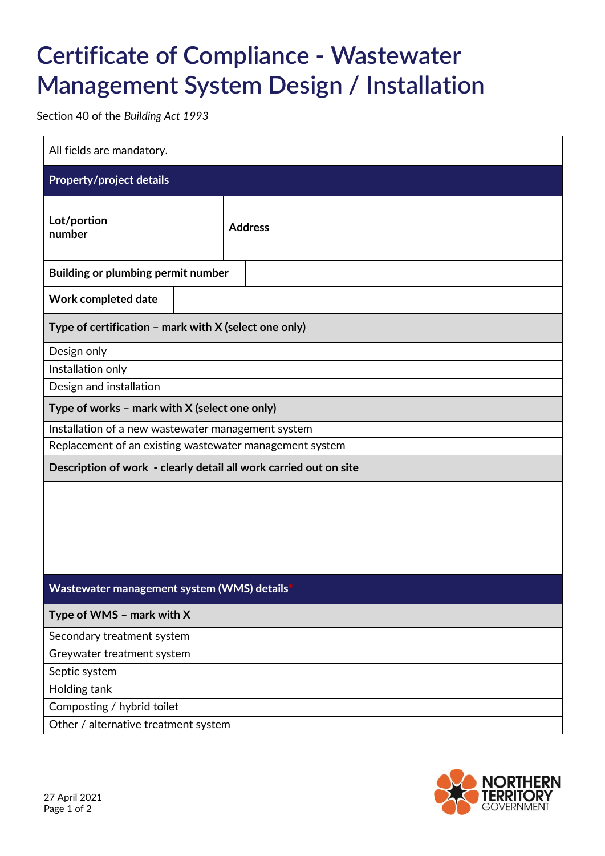# **Certificate of Compliance - Wastewater Management System Design / Installation**

Section 40 of the *Building Act 1993*

| All fields are mandatory.                                         |                                                       |  |                |  |  |  |
|-------------------------------------------------------------------|-------------------------------------------------------|--|----------------|--|--|--|
| <b>Property/project details</b>                                   |                                                       |  |                |  |  |  |
| Lot/portion<br>number                                             |                                                       |  | <b>Address</b> |  |  |  |
| Building or plumbing permit number                                |                                                       |  |                |  |  |  |
| Work completed date                                               |                                                       |  |                |  |  |  |
|                                                                   | Type of certification - mark with X (select one only) |  |                |  |  |  |
| Design only                                                       |                                                       |  |                |  |  |  |
| Installation only                                                 |                                                       |  |                |  |  |  |
| Design and installation                                           |                                                       |  |                |  |  |  |
| Type of works - mark with X (select one only)                     |                                                       |  |                |  |  |  |
| Installation of a new wastewater management system                |                                                       |  |                |  |  |  |
| Replacement of an existing wastewater management system           |                                                       |  |                |  |  |  |
| Description of work - clearly detail all work carried out on site |                                                       |  |                |  |  |  |
|                                                                   |                                                       |  |                |  |  |  |
| Wastewater management system (WMS) details                        |                                                       |  |                |  |  |  |
| Type of WMS - mark with X                                         |                                                       |  |                |  |  |  |
| Secondary treatment system                                        |                                                       |  |                |  |  |  |
| Greywater treatment system                                        |                                                       |  |                |  |  |  |
| Septic system                                                     |                                                       |  |                |  |  |  |
| Holding tank                                                      |                                                       |  |                |  |  |  |
| Composting / hybrid toilet                                        |                                                       |  |                |  |  |  |
| Other / alternative treatment system                              |                                                       |  |                |  |  |  |

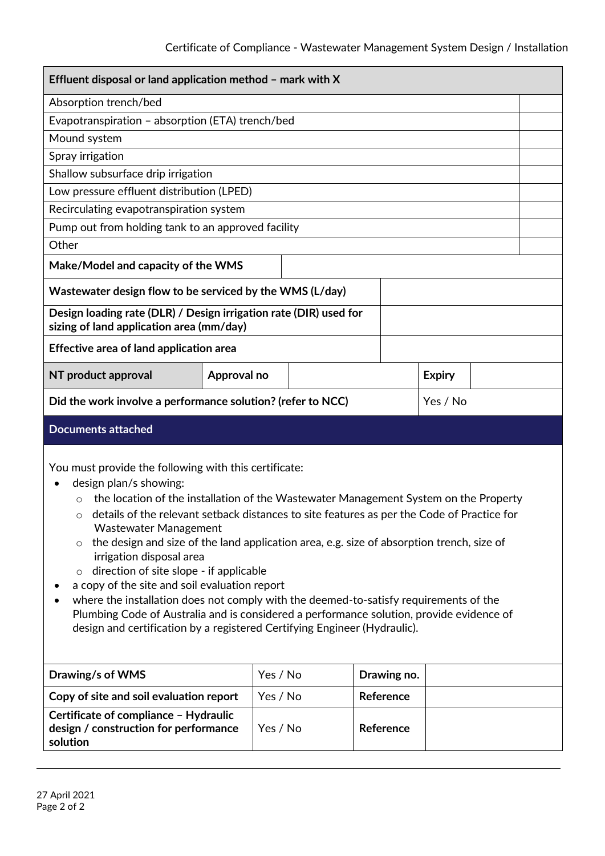| Effluent disposal or land application method - mark with X                                                                                                                                                                                                                                                                                                                                                                                                                                                                                                                                                                                                                                                                                                                                                              |             |          |          |             |  |               |  |  |
|-------------------------------------------------------------------------------------------------------------------------------------------------------------------------------------------------------------------------------------------------------------------------------------------------------------------------------------------------------------------------------------------------------------------------------------------------------------------------------------------------------------------------------------------------------------------------------------------------------------------------------------------------------------------------------------------------------------------------------------------------------------------------------------------------------------------------|-------------|----------|----------|-------------|--|---------------|--|--|
| Absorption trench/bed                                                                                                                                                                                                                                                                                                                                                                                                                                                                                                                                                                                                                                                                                                                                                                                                   |             |          |          |             |  |               |  |  |
| Evapotranspiration - absorption (ETA) trench/bed                                                                                                                                                                                                                                                                                                                                                                                                                                                                                                                                                                                                                                                                                                                                                                        |             |          |          |             |  |               |  |  |
| Mound system                                                                                                                                                                                                                                                                                                                                                                                                                                                                                                                                                                                                                                                                                                                                                                                                            |             |          |          |             |  |               |  |  |
| Spray irrigation                                                                                                                                                                                                                                                                                                                                                                                                                                                                                                                                                                                                                                                                                                                                                                                                        |             |          |          |             |  |               |  |  |
| Shallow subsurface drip irrigation                                                                                                                                                                                                                                                                                                                                                                                                                                                                                                                                                                                                                                                                                                                                                                                      |             |          |          |             |  |               |  |  |
| Low pressure effluent distribution (LPED)                                                                                                                                                                                                                                                                                                                                                                                                                                                                                                                                                                                                                                                                                                                                                                               |             |          |          |             |  |               |  |  |
| Recirculating evapotranspiration system                                                                                                                                                                                                                                                                                                                                                                                                                                                                                                                                                                                                                                                                                                                                                                                 |             |          |          |             |  |               |  |  |
| Pump out from holding tank to an approved facility                                                                                                                                                                                                                                                                                                                                                                                                                                                                                                                                                                                                                                                                                                                                                                      |             |          |          |             |  |               |  |  |
| Other                                                                                                                                                                                                                                                                                                                                                                                                                                                                                                                                                                                                                                                                                                                                                                                                                   |             |          |          |             |  |               |  |  |
| Make/Model and capacity of the WMS                                                                                                                                                                                                                                                                                                                                                                                                                                                                                                                                                                                                                                                                                                                                                                                      |             |          |          |             |  |               |  |  |
| Wastewater design flow to be serviced by the WMS (L/day)                                                                                                                                                                                                                                                                                                                                                                                                                                                                                                                                                                                                                                                                                                                                                                |             |          |          |             |  |               |  |  |
| Design loading rate (DLR) / Design irrigation rate (DIR) used for<br>sizing of land application area (mm/day)                                                                                                                                                                                                                                                                                                                                                                                                                                                                                                                                                                                                                                                                                                           |             |          |          |             |  |               |  |  |
| Effective area of land application area                                                                                                                                                                                                                                                                                                                                                                                                                                                                                                                                                                                                                                                                                                                                                                                 |             |          |          |             |  |               |  |  |
| NT product approval                                                                                                                                                                                                                                                                                                                                                                                                                                                                                                                                                                                                                                                                                                                                                                                                     | Approval no |          |          |             |  | <b>Expiry</b> |  |  |
| Did the work involve a performance solution? (refer to NCC)<br>Yes / No                                                                                                                                                                                                                                                                                                                                                                                                                                                                                                                                                                                                                                                                                                                                                 |             |          |          |             |  |               |  |  |
| <b>Documents attached</b>                                                                                                                                                                                                                                                                                                                                                                                                                                                                                                                                                                                                                                                                                                                                                                                               |             |          |          |             |  |               |  |  |
| You must provide the following with this certificate:<br>design plan/s showing:<br>the location of the installation of the Wastewater Management System on the Property<br>details of the relevant setback distances to site features as per the Code of Practice for<br>O<br><b>Wastewater Management</b><br>the design and size of the land application area, e.g. size of absorption trench, size of<br>$\circ$<br>irrigation disposal area<br>direction of site slope - if applicable<br>$\circ$<br>a copy of the site and soil evaluation report<br>where the installation does not comply with the deemed-to-satisfy requirements of the<br>Plumbing Code of Australia and is considered a performance solution, provide evidence of<br>design and certification by a registered Certifying Engineer (Hydraulic). |             |          |          |             |  |               |  |  |
| Drawing/s of WMS                                                                                                                                                                                                                                                                                                                                                                                                                                                                                                                                                                                                                                                                                                                                                                                                        |             |          | Yes / No | Drawing no. |  |               |  |  |
| Copy of site and soil evaluation report                                                                                                                                                                                                                                                                                                                                                                                                                                                                                                                                                                                                                                                                                                                                                                                 |             | Yes / No |          | Reference   |  |               |  |  |
| Certificate of compliance - Hydraulic<br>design / construction for performance<br>solution                                                                                                                                                                                                                                                                                                                                                                                                                                                                                                                                                                                                                                                                                                                              |             | Yes / No |          | Reference   |  |               |  |  |